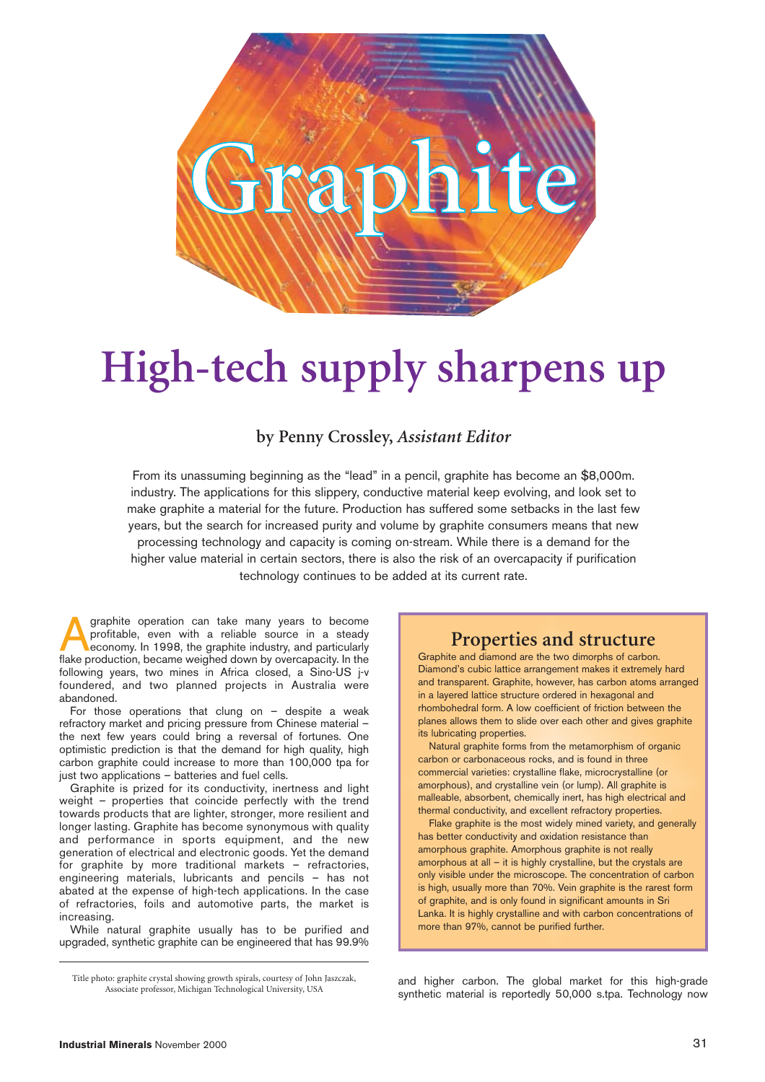

# **High-tech supply sharpens up**

#### **by Penny Crossley,** *Assistant Editor*

From its unassuming beginning as the "lead" in a pencil, graphite has become an \$8,000m. industry. The applications for this slippery, conductive material keep evolving, and look set to make graphite a material for the future. Production has suffered some setbacks in the last few years, but the search for increased purity and volume by graphite consumers means that new processing technology and capacity is coming on-stream. While there is a demand for the higher value material in certain sectors, there is also the risk of an overcapacity if purification technology continues to be added at its current rate.

graphite operation can take many years to become profitable, even with a reliable source in a steady economy. In 1998, the graphite industry, and particularly flake production, became weighed down by overcapacity. In the following years, two mines in Africa closed, a Sino-US j-v foundered, and two planned projects in Australia were abandoned.

For those operations that clung on – despite a weak refractory market and pricing pressure from Chinese material – the next few years could bring a reversal of fortunes. One optimistic prediction is that the demand for high quality, high carbon graphite could increase to more than 100,000 tpa for just two applications – batteries and fuel cells.

Graphite is prized for its conductivity, inertness and light weight – properties that coincide perfectly with the trend towards products that are lighter, stronger, more resilient and longer lasting. Graphite has become synonymous with quality and performance in sports equipment, and the new generation of electrical and electronic goods. Yet the demand for graphite by more traditional markets – refractories, engineering materials, lubricants and pencils – has not abated at the expense of high-tech applications. In the case of refractories, foils and automotive parts, the market is increasing.

While natural graphite usually has to be purified and upgraded, synthetic graphite can be engineered that has 99.9%

#### **Properties and structure**

Graphite and diamond are the two dimorphs of carbon. Diamond's cubic lattice arrangement makes it extremely hard and transparent. Graphite, however, has carbon atoms arranged in a layered lattice structure ordered in hexagonal and rhombohedral form. A low coefficient of friction between the planes allows them to slide over each other and gives graphite its lubricating properties.

Natural graphite forms from the metamorphism of organic carbon or carbonaceous rocks, and is found in three commercial varieties: crystalline flake, microcrystalline (or amorphous), and crystalline vein (or lump). All graphite is malleable, absorbent, chemically inert, has high electrical and thermal conductivity, and excellent refractory properties.

Flake graphite is the most widely mined variety, and generally has better conductivity and oxidation resistance than amorphous graphite. Amorphous graphite is not really amorphous at all – it is highly crystalline, but the crystals are only visible under the microscope. The concentration of carbon is high, usually more than 70%. Vein graphite is the rarest form of graphite, and is only found in significant amounts in Sri Lanka. It is highly crystalline and with carbon concentrations of more than 97%, cannot be purified further.

and higher carbon. The global market for this high-grade synthetic material is reportedly 50,000 s.tpa. Technology now

Title photo: graphite crystal showing growth spirals, courtesy of John Jaszczak, Associate professor, Michigan Technological University, USA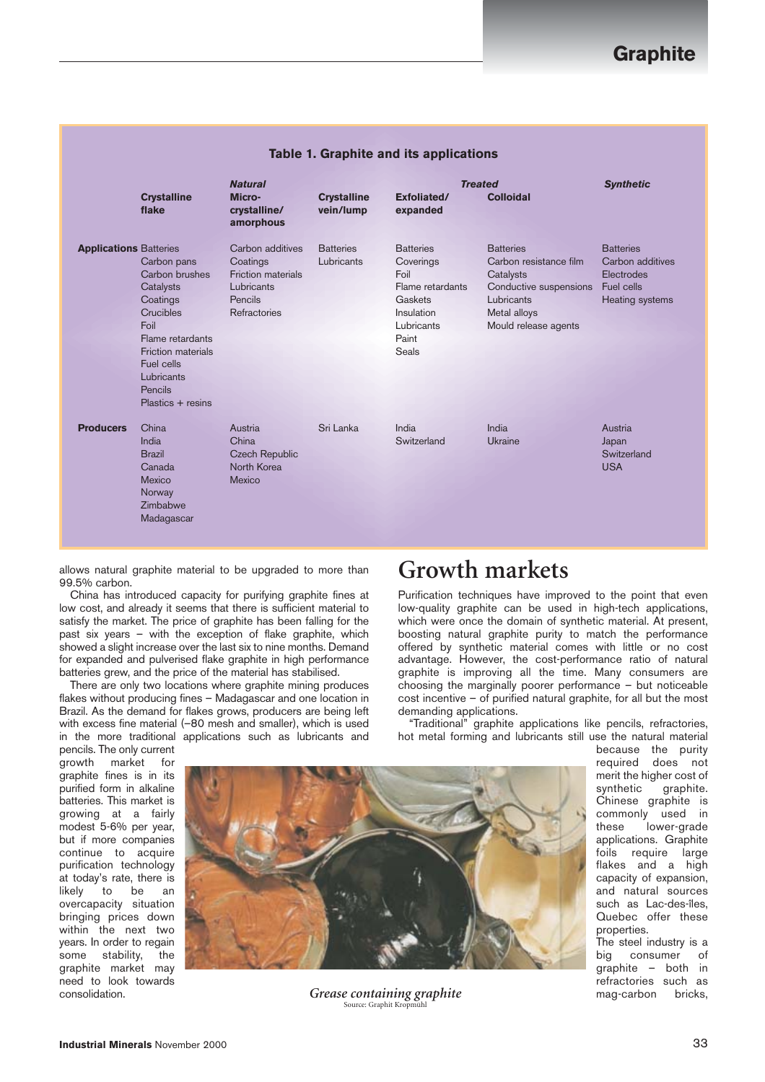|                               | <b>Crystalline</b><br>flake                                                                                                                                                              | <b>Natural</b><br>Micro-<br>crystalline/<br>amorphous                                       | <b>Crystalline</b><br>vein/lump | <b>Treated</b><br>Exfoliated/<br>expanded                                                                          | <b>Colloidal</b>                                                                                                                        | <b>Synthetic</b>                                                                    |
|-------------------------------|------------------------------------------------------------------------------------------------------------------------------------------------------------------------------------------|---------------------------------------------------------------------------------------------|---------------------------------|--------------------------------------------------------------------------------------------------------------------|-----------------------------------------------------------------------------------------------------------------------------------------|-------------------------------------------------------------------------------------|
| <b>Applications Batteries</b> | Carbon pans<br>Carbon brushes<br>Catalysts<br>Coatings<br>Crucibles<br>Foil<br>Flame retardants<br><b>Friction materials</b><br>Fuel cells<br>Lubricants<br>Pencils<br>Plastics + resins | Carbon additives<br>Coatings<br>Friction materials<br>Lubricants<br>Pencils<br>Refractories | <b>Batteries</b><br>Lubricants  | <b>Batteries</b><br>Coverings<br>Foil<br>Flame retardants<br>Gaskets<br>Insulation<br>Lubricants<br>Paint<br>Seals | <b>Batteries</b><br>Carbon resistance film<br>Catalysts<br>Conductive suspensions<br>Lubricants<br>Metal alloys<br>Mould release agents | <b>Batteries</b><br>Carbon additives<br>Electrodes<br>Fuel cells<br>Heating systems |
| <b>Producers</b>              | China<br>India<br><b>Brazil</b><br>Canada<br>Mexico<br>Norway<br>Zimbabwe<br>Madagascar                                                                                                  | Austria<br>China<br><b>Czech Republic</b><br>North Korea<br>Mexico                          | Sri Lanka                       | India<br>Switzerland                                                                                               | India<br>Ukraine                                                                                                                        | Austria<br>Japan<br>Switzerland<br><b>USA</b>                                       |

#### **Table 1. Graphite and its applications**

allows natural graphite material to be upgraded to more than 99.5% carbon.

China has introduced capacity for purifying graphite fines at low cost, and already it seems that there is sufficient material to satisfy the market. The price of graphite has been falling for the past six years – with the exception of flake graphite, which showed a slight increase over the last six to nine months. Demand for expanded and pulverised flake graphite in high performance batteries grew, and the price of the material has stabilised.

There are only two locations where graphite mining produces flakes without producing fines – Madagascar and one location in Brazil. As the demand for flakes grows, producers are being left with excess fine material (–80 mesh and smaller), which is used in the more traditional applications such as lubricants and

## **Growth markets**

Purification techniques have improved to the point that even low-quality graphite can be used in high-tech applications, which were once the domain of synthetic material. At present, boosting natural graphite purity to match the performance offered by synthetic material comes with little or no cost advantage. However, the cost-performance ratio of natural graphite is improving all the time. Many consumers are choosing the marginally poorer performance – but noticeable cost incentive – of purified natural graphite, for all but the most demanding applications.

"Traditional" graphite applications like pencils, refractories, hot metal forming and lubricants still use the natural material

pencils. The only current growth market for graphite fines is in its purified form in alkaline batteries. This market is growing at a fairly modest 5-6% per year, but if more companies continue to acquire purification technology at today's rate, there is<br>likely to be an to be an overcapacity situation bringing prices down within the next two years. In order to regain some stability, the graphite market may need to look towards consolidation.



*Grease containing graphite* Source: Graphit Kro

because the purity required does not merit the higher cost of synthetic graphite. Chinese graphite is commonly used in<br>these lower-grade lower-grade applications. Graphite foils require large flakes and a high capacity of expansion, and natural sources such as Lac-des-îles, Quebec offer these properties.

The steel industry is a<br>big consumer of consumer of graphite – both in refractories such as mag-carbon bricks,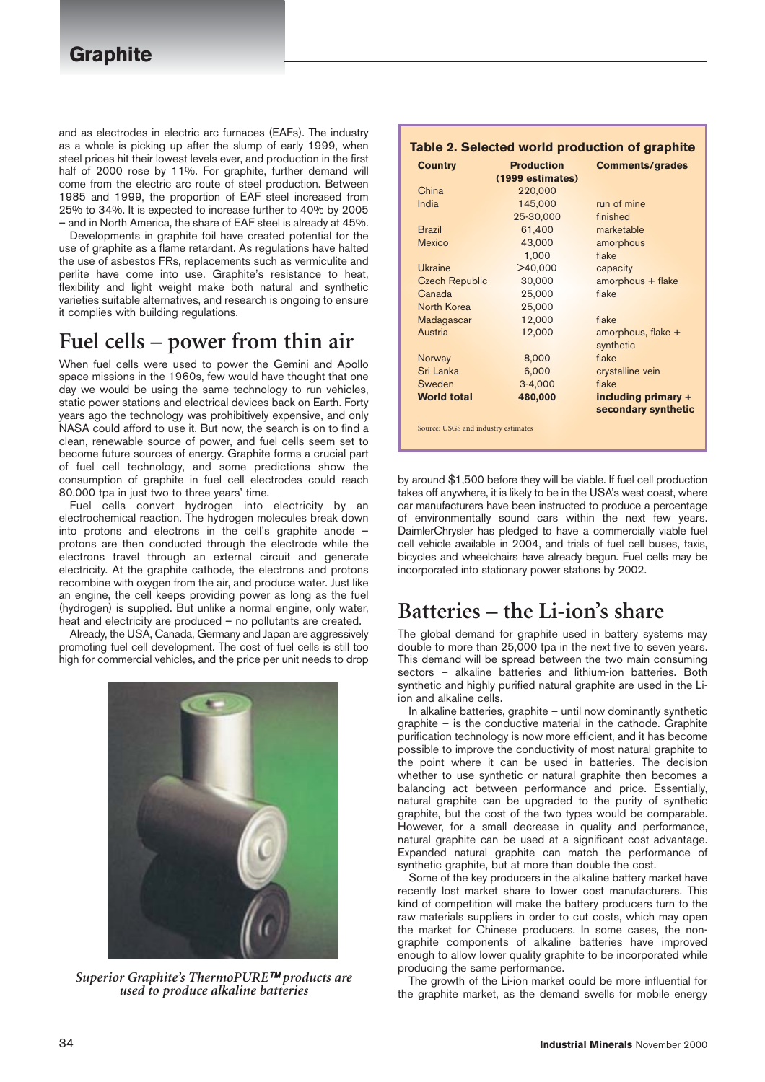and as electrodes in electric arc furnaces (EAFs). The industry as a whole is picking up after the slump of early 1999, when steel prices hit their lowest levels ever, and production in the first half of 2000 rose by 11%. For graphite, further demand will come from the electric arc route of steel production. Between 1985 and 1999, the proportion of EAF steel increased from 25% to 34%. It is expected to increase further to 40% by 2005 – and in North America, the share of EAF steel is already at 45%.

Developments in graphite foil have created potential for the use of graphite as a flame retardant. As regulations have halted the use of asbestos FRs, replacements such as vermiculite and perlite have come into use. Graphite's resistance to heat, flexibility and light weight make both natural and synthetic varieties suitable alternatives, and research is ongoing to ensure it complies with building regulations.

# **Fuel cells – power from thin air**

When fuel cells were used to power the Gemini and Apollo space missions in the 1960s, few would have thought that one day we would be using the same technology to run vehicles, static power stations and electrical devices back on Earth. Forty years ago the technology was prohibitively expensive, and only NASA could afford to use it. But now, the search is on to find a clean, renewable source of power, and fuel cells seem set to become future sources of energy. Graphite forms a crucial part of fuel cell technology, and some predictions show the consumption of graphite in fuel cell electrodes could reach 80,000 tpa in just two to three years' time.

Fuel cells convert hydrogen into electricity by an electrochemical reaction. The hydrogen molecules break down into protons and electrons in the cell's graphite anode – protons are then conducted through the electrode while the electrons travel through an external circuit and generate electricity. At the graphite cathode, the electrons and protons recombine with oxygen from the air, and produce water. Just like an engine, the cell keeps providing power as long as the fuel (hydrogen) is supplied. But unlike a normal engine, only water, heat and electricity are produced – no pollutants are created.

Already, the USA, Canada, Germany and Japan are aggressively promoting fuel cell development. The cost of fuel cells is still too high for commercial vehicles, and the price per unit needs to drop



*Superior Graphite's ThermoPURE products are used to produce alkaline batteries*

| Table 2. Selected world production of graphite |                   |                        |  |  |
|------------------------------------------------|-------------------|------------------------|--|--|
| <b>Country</b>                                 | <b>Production</b> | <b>Comments/grades</b> |  |  |
|                                                | (1999 estimates)  |                        |  |  |
| China                                          | 220,000           |                        |  |  |
| India                                          | 145,000           | run of mine            |  |  |
|                                                | 25-30,000         | finished               |  |  |
| <b>Brazil</b>                                  | 61,400            | marketable             |  |  |
| <b>Mexico</b>                                  | 43,000            | amorphous              |  |  |
|                                                | 1,000             | flake                  |  |  |
| Ukraine                                        | >40,000           | capacity               |  |  |
| <b>Czech Republic</b>                          | 30,000            | amorphous + flake      |  |  |
| Canada                                         | 25,000            | flake                  |  |  |
| North Korea                                    | 25,000            |                        |  |  |
| Madagascar                                     | 12,000            | flake                  |  |  |
| Austria                                        | 12,000            | amorphous, flake $+$   |  |  |
|                                                |                   | synthetic              |  |  |
| Norway                                         | 8,000             | flake                  |  |  |
| Sri Lanka                                      | 6,000             | crystalline vein       |  |  |
| Sweden                                         | $3-4,000$         | flake                  |  |  |
| <b>World total</b>                             | 480,000           | including primary +    |  |  |
|                                                |                   | secondary synthetic    |  |  |
| Source: USGS and industry estimates            |                   |                        |  |  |

by around \$1,500 before they will be viable. If fuel cell production takes off anywhere, it is likely to be in the USA's west coast, where car manufacturers have been instructed to produce a percentage of environmentally sound cars within the next few years. DaimlerChrysler has pledged to have a commercially viable fuel cell vehicle available in 2004, and trials of fuel cell buses, taxis, bicycles and wheelchairs have already begun. Fuel cells may be incorporated into stationary power stations by 2002.

## **Batteries – the Li-ion's share**

The global demand for graphite used in battery systems may double to more than 25,000 tpa in the next five to seven years. This demand will be spread between the two main consuming sectors – alkaline batteries and lithium-ion batteries. Both synthetic and highly purified natural graphite are used in the Liion and alkaline cells.

In alkaline batteries, graphite – until now dominantly synthetic graphite – is the conductive material in the cathode. Graphite purification technology is now more efficient, and it has become possible to improve the conductivity of most natural graphite to the point where it can be used in batteries. The decision whether to use synthetic or natural graphite then becomes a balancing act between performance and price. Essentially, natural graphite can be upgraded to the purity of synthetic graphite, but the cost of the two types would be comparable. However, for a small decrease in quality and performance, natural graphite can be used at a significant cost advantage. Expanded natural graphite can match the performance of synthetic graphite, but at more than double the cost.

Some of the key producers in the alkaline battery market have recently lost market share to lower cost manufacturers. This kind of competition will make the battery producers turn to the raw materials suppliers in order to cut costs, which may open the market for Chinese producers. In some cases, the nongraphite components of alkaline batteries have improved enough to allow lower quality graphite to be incorporated while producing the same performance.

The growth of the Li-ion market could be more influential for the graphite market, as the demand swells for mobile energy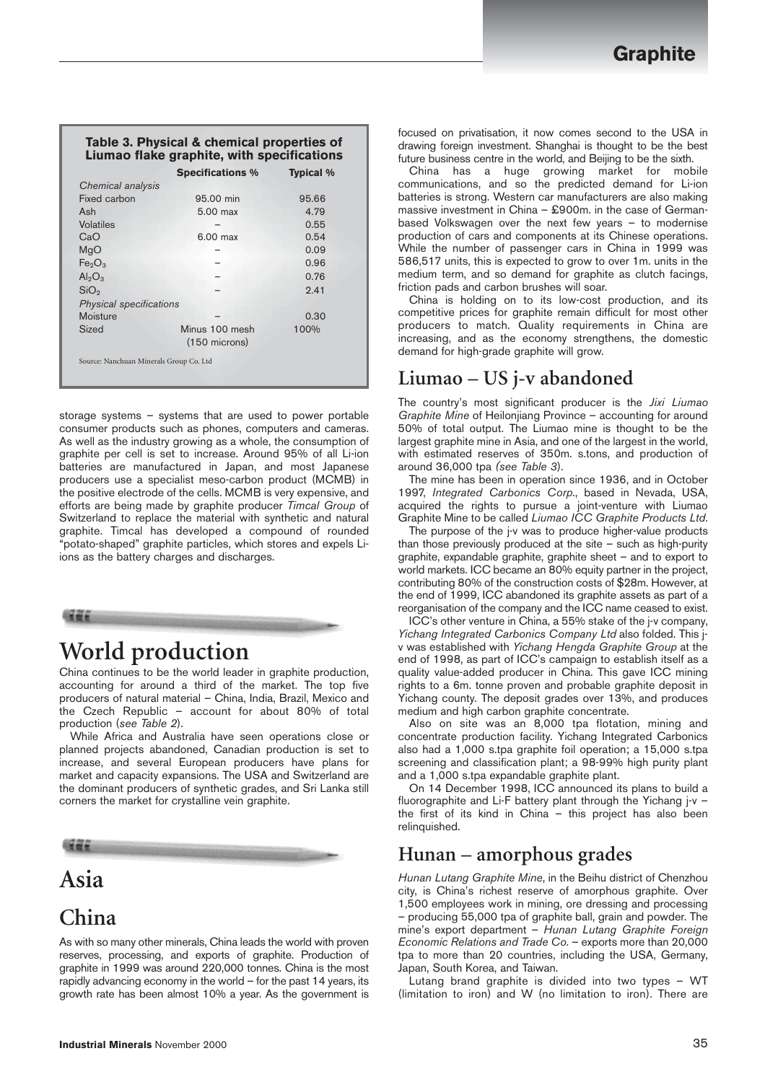#### **Table 3. Physical & chemical properties of Liumao flake graphite, with specifications**

|                                         | <b>Specifications %</b> | <b>Typical</b> % |
|-----------------------------------------|-------------------------|------------------|
| Chemical analysis                       |                         |                  |
| Fixed carbon                            | 95.00 min               | 95.66            |
| Ash                                     | 5.00 max                | 4.79             |
| Volatiles                               |                         | 0.55             |
| CaO                                     | $6.00$ max              | 0.54             |
| MqO                                     |                         | 0.09             |
| Fe <sub>2</sub> O <sub>3</sub>          |                         | 0.96             |
| $Al_2O_3$                               |                         | 0.76             |
| SiO <sub>2</sub>                        |                         | 9.41             |
| Physical specifications                 |                         |                  |
| Moisture                                |                         | 0.30             |
| Sized                                   | Minus 100 mesh          | 100%             |
|                                         | $(150$ microns)         |                  |
| Source: Nanchuan Minerals Group Co. Ltd |                         |                  |
|                                         |                         |                  |

storage systems – systems that are used to power portable consumer products such as phones, computers and cameras. As well as the industry growing as a whole, the consumption of graphite per cell is set to increase. Around 95% of all Li-ion batteries are manufactured in Japan, and most Japanese producers use a specialist meso-carbon product (MCMB) in the positive electrode of the cells. MCMB is very expensive, and efforts are being made by graphite producer *Timcal Group* of Switzerland to replace the material with synthetic and natural graphite. Timcal has developed a compound of rounded "potato-shaped" graphite particles, which stores and expels Liions as the battery charges and discharges.



# **World production**

China continues to be the world leader in graphite production, accounting for around a third of the market. The top five producers of natural material – China, India, Brazil, Mexico and the Czech Republic – account for about 80% of total production (*see Table 2*).

While Africa and Australia have seen operations close or planned projects abandoned, Canadian production is set to increase, and several European producers have plans for market and capacity expansions. The USA and Switzerland are the dominant producers of synthetic grades, and Sri Lanka still corners the market for crystalline vein graphite.



# **Asia**

# **China**

As with so many other minerals, China leads the world with proven reserves, processing, and exports of graphite. Production of graphite in 1999 was around 220,000 tonnes. China is the most rapidly advancing economy in the world – for the past 14 years, its growth rate has been almost 10% a year. As the government is

China has a huge growing market for mobile communications, and so the predicted demand for Li-ion batteries is strong. Western car manufacturers are also making massive investment in China – £900m. in the case of Germanbased Volkswagen over the next few years – to modernise production of cars and components at its Chinese operations. While the number of passenger cars in China in 1999 was 586,517 units, this is expected to grow to over 1m. units in the medium term, and so demand for graphite as clutch facings, friction pads and carbon brushes will soar.

China is holding on to its low-cost production, and its competitive prices for graphite remain difficult for most other producers to match. Quality requirements in China are increasing, and as the economy strengthens, the domestic demand for high-grade graphite will grow.

#### **Liumao – US j-v abandoned**

The country's most significant producer is the *Jixi Liumao Graphite Mine* of Heilonjiang Province – accounting for around 50% of total output. The Liumao mine is thought to be the largest graphite mine in Asia, and one of the largest in the world, with estimated reserves of 350m. s.tons, and production of around 36,000 tpa *(see Table 3*).

The mine has been in operation since 1936, and in October 1997, *Integrated Carbonics Corp*., based in Nevada, USA, acquired the rights to pursue a joint-venture with Liumao Graphite Mine to be called *Liumao ICC Graphite Products Ltd*.

The purpose of the j-v was to produce higher-value products than those previously produced at the site – such as high-purity graphite, expandable graphite, graphite sheet – and to export to world markets. ICC became an 80% equity partner in the project, contributing 80% of the construction costs of \$28m. However, at the end of 1999, ICC abandoned its graphite assets as part of a reorganisation of the company and the ICC name ceased to exist.

ICC's other venture in China, a 55% stake of the j-v company, *Yichang Integrated Carbonics Company Ltd* also folded. This jv was established with *Yichang Hengda Graphite Group* at the end of 1998, as part of ICC's campaign to establish itself as a quality value-added producer in China. This gave ICC mining rights to a 6m. tonne proven and probable graphite deposit in Yichang county. The deposit grades over 13%, and produces medium and high carbon graphite concentrate.

Also on site was an 8,000 tpa flotation, mining and concentrate production facility. Yichang Integrated Carbonics also had a 1,000 s.tpa graphite foil operation; a 15,000 s.tpa screening and classification plant; a 98-99% high purity plant and a 1,000 s.tpa expandable graphite plant.

On 14 December 1998, ICC announced its plans to build a fluorographite and Li-F battery plant through the Yichang j-v – the first of its kind in China – this project has also been relinquished.

#### **Hunan – amorphous grades**

*Hunan Lutang Graphite Mine*, in the Beihu district of Chenzhou city, is China's richest reserve of amorphous graphite. Over 1,500 employees work in mining, ore dressing and processing – producing 55,000 tpa of graphite ball, grain and powder. The mine's export department – *Hunan Lutang Graphite Foreign Economic Relations and Trade Co.* – exports more than 20,000 tpa to more than 20 countries, including the USA, Germany, Japan, South Korea, and Taiwan.

Lutang brand graphite is divided into two types – WT (limitation to iron) and W (no limitation to iron). There are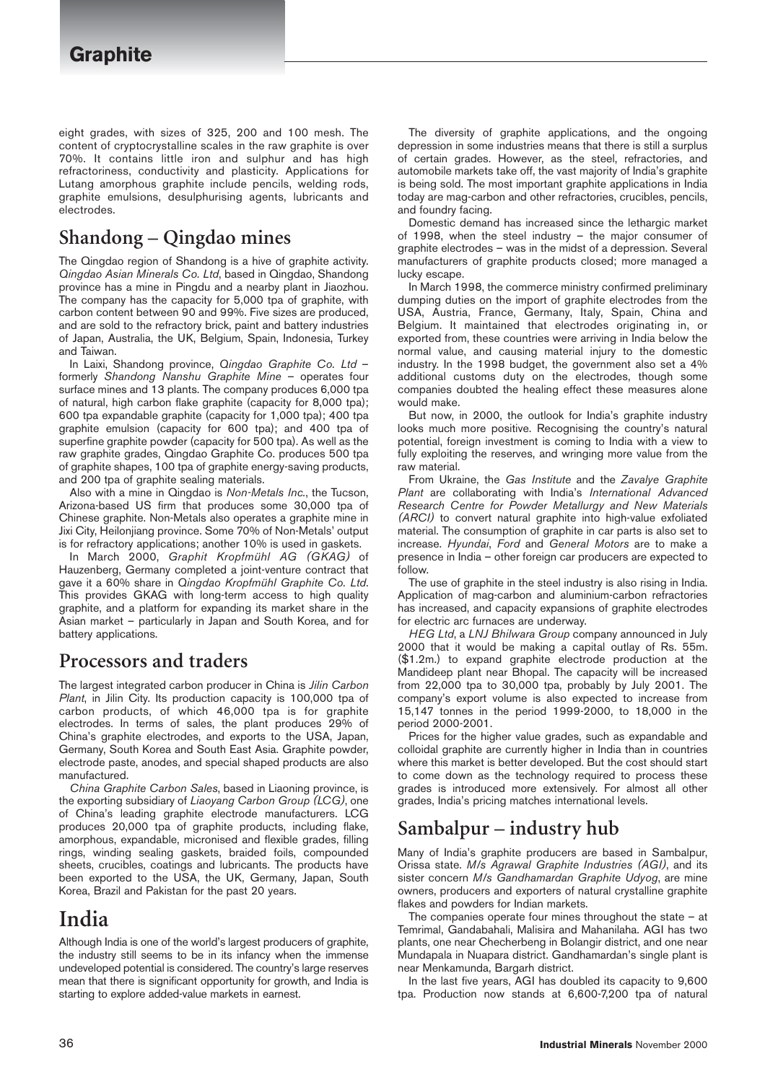eight grades, with sizes of 325, 200 and 100 mesh. The content of cryptocrystalline scales in the raw graphite is over 70%. It contains little iron and sulphur and has high refractoriness, conductivity and plasticity. Applications for Lutang amorphous graphite include pencils, welding rods, graphite emulsions, desulphurising agents, lubricants and electrodes.

#### **Shandong – Qingdao mines**

The Qingdao region of Shandong is a hive of graphite activity. *Qingdao Asian Minerals Co. Ltd*, based in Qingdao, Shandong province has a mine in Pingdu and a nearby plant in Jiaozhou. The company has the capacity for 5,000 tpa of graphite, with carbon content between 90 and 99%. Five sizes are produced, and are sold to the refractory brick, paint and battery industries of Japan, Australia, the UK, Belgium, Spain, Indonesia, Turkey and Taiwan.

In Laixi, Shandong province, *Qingdao Graphite Co. Ltd* – formerly *Shandong Nanshu Graphite Mine* – operates four surface mines and 13 plants. The company produces 6,000 tpa of natural, high carbon flake graphite (capacity for 8,000 tpa); 600 tpa expandable graphite (capacity for 1,000 tpa); 400 tpa graphite emulsion (capacity for 600 tpa); and 400 tpa of superfine graphite powder (capacity for 500 tpa). As well as the raw graphite grades, Qingdao Graphite Co. produces 500 tpa of graphite shapes, 100 tpa of graphite energy-saving products, and 200 tpa of graphite sealing materials.

Also with a mine in Qingdao is *Non-Metals Inc.*, the Tucson, Arizona-based US firm that produces some 30,000 tpa of Chinese graphite. Non-Metals also operates a graphite mine in Jixi City, Heilonjiang province. Some 70% of Non-Metals' output is for refractory applications; another 10% is used in gaskets.

In March 2000, *Graphit Kropfmühl AG (GKAG)* of Hauzenberg, Germany completed a joint-venture contract that gave it a 60% share in *Qingdao Kropfmühl Graphite Co. Ltd*. This provides GKAG with long-term access to high quality graphite, and a platform for expanding its market share in the Asian market – particularly in Japan and South Korea, and for battery applications.

#### **Processors and traders**

The largest integrated carbon producer in China is *Jilin Carbon Plant*, in Jilin City. Its production capacity is 100,000 tpa of carbon products, of which 46,000 tpa is for graphite electrodes. In terms of sales, the plant produces 29% of China's graphite electrodes, and exports to the USA, Japan, Germany, South Korea and South East Asia. Graphite powder, electrode paste, anodes, and special shaped products are also manufactured.

*China Graphite Carbon Sales*, based in Liaoning province, is the exporting subsidiary of *Liaoyang Carbon Group (LCG)*, one of China's leading graphite electrode manufacturers. LCG produces 20,000 tpa of graphite products, including flake, amorphous, expandable, micronised and flexible grades, filling rings, winding sealing gaskets, braided foils, compounded sheets, crucibles, coatings and lubricants. The products have been exported to the USA, the UK, Germany, Japan, South Korea, Brazil and Pakistan for the past 20 years.

# **India**

Although India is one of the world's largest producers of graphite, the industry still seems to be in its infancy when the immense undeveloped potential is considered. The country's large reserves mean that there is significant opportunity for growth, and India is starting to explore added-value markets in earnest.

The diversity of graphite applications, and the ongoing depression in some industries means that there is still a surplus of certain grades. However, as the steel, refractories, and automobile markets take off, the vast majority of India's graphite is being sold. The most important graphite applications in India today are mag-carbon and other refractories, crucibles, pencils, and foundry facing.

Domestic demand has increased since the lethargic market of 1998, when the steel industry – the major consumer of graphite electrodes – was in the midst of a depression. Several manufacturers of graphite products closed; more managed a lucky escape.

In March 1998, the commerce ministry confirmed preliminary dumping duties on the import of graphite electrodes from the USA, Austria, France, Germany, Italy, Spain, China and Belgium. It maintained that electrodes originating in, or exported from, these countries were arriving in India below the normal value, and causing material injury to the domestic industry. In the 1998 budget, the government also set a 4% additional customs duty on the electrodes, though some companies doubted the healing effect these measures alone would make.

But now, in 2000, the outlook for India's graphite industry looks much more positive. Recognising the country's natural potential, foreign investment is coming to India with a view to fully exploiting the reserves, and wringing more value from the raw material.

From Ukraine, the *Gas Institute* and the *Zavalye Graphite Plant* are collaborating with India's *International Advanced Research Centre for Powder Metallurgy and New Materials (ARCI)* to convert natural graphite into high-value exfoliated material. The consumption of graphite in car parts is also set to increase. *Hyundai*, *Ford* and *General Motors* are to make a presence in India – other foreign car producers are expected to follow.

The use of graphite in the steel industry is also rising in India. Application of mag-carbon and aluminium-carbon refractories has increased, and capacity expansions of graphite electrodes for electric arc furnaces are underway.

*HEG Ltd*, a *LNJ Bhilwara Group* company announced in July 2000 that it would be making a capital outlay of Rs. 55m. (\$1.2m.) to expand graphite electrode production at the Mandideep plant near Bhopal. The capacity will be increased from 22,000 tpa to 30,000 tpa, probably by July 2001. The company's export volume is also expected to increase from 15,147 tonnes in the period 1999-2000, to 18,000 in the period 2000-2001.

Prices for the higher value grades, such as expandable and colloidal graphite are currently higher in India than in countries where this market is better developed. But the cost should start to come down as the technology required to process these grades is introduced more extensively. For almost all other grades, India's pricing matches international levels.

#### **Sambalpur – industry hub**

Many of India's graphite producers are based in Sambalpur, Orissa state. *M/s Agrawal Graphite Industries (AGI)*, and its sister concern *M/s Gandhamardan Graphite Udyog*, are mine owners, producers and exporters of natural crystalline graphite flakes and powders for Indian markets.

The companies operate four mines throughout the state  $-$  at Temrimal, Gandabahali, Malisira and Mahanilaha. AGI has two plants, one near Checherbeng in Bolangir district, and one near Mundapala in Nuapara district. Gandhamardan's single plant is near Menkamunda, Bargarh district.

In the last five years, AGI has doubled its capacity to 9,600 tpa. Production now stands at 6,600-7,200 tpa of natural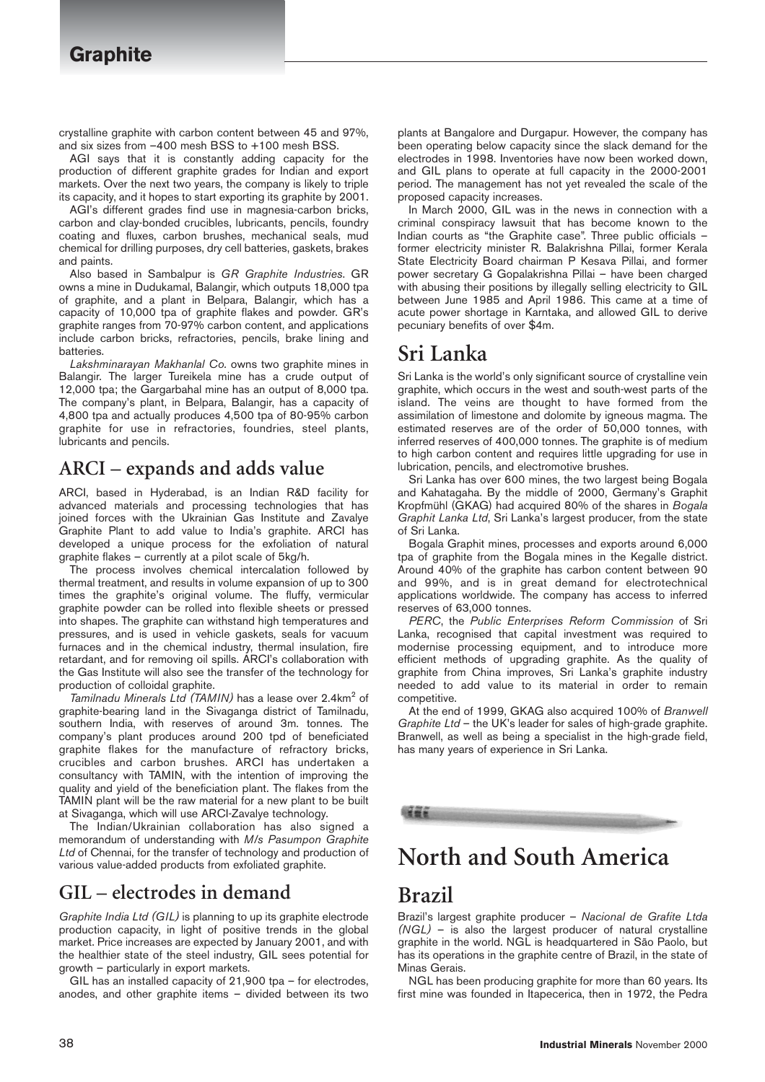crystalline graphite with carbon content between 45 and 97%, and six sizes from –400 mesh BSS to +100 mesh BSS.

AGI says that it is constantly adding capacity for the production of different graphite grades for Indian and export markets. Over the next two years, the company is likely to triple its capacity, and it hopes to start exporting its graphite by 2001.

AGI's different grades find use in magnesia-carbon bricks, carbon and clay-bonded crucibles, lubricants, pencils, foundry coating and fluxes, carbon brushes, mechanical seals, mud chemical for drilling purposes, dry cell batteries, gaskets, brakes and paints.

Also based in Sambalpur is *GR Graphite Industries*. GR owns a mine in Dudukamal, Balangir, which outputs 18,000 tpa of graphite, and a plant in Belpara, Balangir, which has a capacity of 10,000 tpa of graphite flakes and powder. GR's graphite ranges from 70-97% carbon content, and applications include carbon bricks, refractories, pencils, brake lining and batteries.

*Lakshminarayan Makhanlal Co.* owns two graphite mines in Balangir. The larger Tureikela mine has a crude output of 12,000 tpa; the Gargarbahal mine has an output of 8,000 tpa. The company's plant, in Belpara, Balangir, has a capacity of 4,800 tpa and actually produces 4,500 tpa of 80-95% carbon graphite for use in refractories, foundries, steel plants, lubricants and pencils.

#### **ARCI – expands and adds value**

ARCI, based in Hyderabad, is an Indian R&D facility for advanced materials and processing technologies that has joined forces with the Ukrainian Gas Institute and Zavalye Graphite Plant to add value to India's graphite. ARCI has developed a unique process for the exfoliation of natural graphite flakes – currently at a pilot scale of 5kg/h.

The process involves chemical intercalation followed by thermal treatment, and results in volume expansion of up to 300 times the graphite's original volume. The fluffy, vermicular graphite powder can be rolled into flexible sheets or pressed into shapes. The graphite can withstand high temperatures and pressures, and is used in vehicle gaskets, seals for vacuum furnaces and in the chemical industry, thermal insulation, fire retardant, and for removing oil spills. ARCI's collaboration with the Gas Institute will also see the transfer of the technology for production of colloidal graphite.

*Tamilnadu Minerals Ltd (TAMIN)* has a lease over 2.4km<sup>2</sup> of graphite-bearing land in the Sivaganga district of Tamilnadu, southern India, with reserves of around 3m. tonnes. The company's plant produces around 200 tpd of beneficiated graphite flakes for the manufacture of refractory bricks, crucibles and carbon brushes. ARCI has undertaken a consultancy with TAMIN, with the intention of improving the quality and yield of the beneficiation plant. The flakes from the TAMIN plant will be the raw material for a new plant to be built at Sivaganga, which will use ARCI-Zavalye technology.

The Indian/Ukrainian collaboration has also signed a memorandum of understanding with *M/s Pasumpon Graphite Ltd* of Chennai, for the transfer of technology and production of various value-added products from exfoliated graphite.

#### **GIL – electrodes in demand**

*Graphite India Ltd (GIL)* is planning to up its graphite electrode production capacity, in light of positive trends in the global market. Price increases are expected by January 2001, and with the healthier state of the steel industry, GIL sees potential for growth – particularly in export markets.

GIL has an installed capacity of 21,900 tpa – for electrodes, anodes, and other graphite items – divided between its two plants at Bangalore and Durgapur. However, the company has been operating below capacity since the slack demand for the electrodes in 1998. Inventories have now been worked down, and GIL plans to operate at full capacity in the 2000-2001 period. The management has not yet revealed the scale of the proposed capacity increases.

In March 2000, GIL was in the news in connection with a criminal conspiracy lawsuit that has become known to the Indian courts as "the Graphite case". Three public officials – former electricity minister R. Balakrishna Pillai, former Kerala State Electricity Board chairman P Kesava Pillai, and former power secretary G Gopalakrishna Pillai – have been charged with abusing their positions by illegally selling electricity to GIL between June 1985 and April 1986. This came at a time of acute power shortage in Karntaka, and allowed GIL to derive pecuniary benefits of over \$4m.

#### **Sri Lanka**

Sri Lanka is the world's only significant source of crystalline vein graphite, which occurs in the west and south-west parts of the island. The veins are thought to have formed from the assimilation of limestone and dolomite by igneous magma. The estimated reserves are of the order of 50,000 tonnes, with inferred reserves of 400,000 tonnes. The graphite is of medium to high carbon content and requires little upgrading for use in lubrication, pencils, and electromotive brushes.

Sri Lanka has over 600 mines, the two largest being Bogala and Kahatagaha. By the middle of 2000, Germany's Graphit Kropfmühl (GKAG) had acquired 80% of the shares in *Bogala Graphit Lanka Ltd*, Sri Lanka's largest producer, from the state of Sri Lanka.

Bogala Graphit mines, processes and exports around 6,000 tpa of graphite from the Bogala mines in the Kegalle district. Around 40% of the graphite has carbon content between 90 and 99%, and is in great demand for electrotechnical applications worldwide. The company has access to inferred reserves of 63,000 tonnes.

*PERC*, the *Public Enterprises Reform Commission* of Sri Lanka, recognised that capital investment was required to modernise processing equipment, and to introduce more efficient methods of upgrading graphite. As the quality of graphite from China improves, Sri Lanka's graphite industry needed to add value to its material in order to remain competitive.

At the end of 1999, GKAG also acquired 100% of *Branwell Graphite Ltd* – the UK's leader for sales of high-grade graphite. Branwell, as well as being a specialist in the high-grade field, has many years of experience in Sri Lanka.

# **North and South America**

#### **Brazil**

Brazil's largest graphite producer – *Nacional de Grafite Ltda (NGL)* – is also the largest producer of natural crystalline graphite in the world. NGL is headquartered in São Paolo, but has its operations in the graphite centre of Brazil, in the state of Minas Gerais.

NGL has been producing graphite for more than 60 years. Its first mine was founded in Itapecerica, then in 1972, the Pedra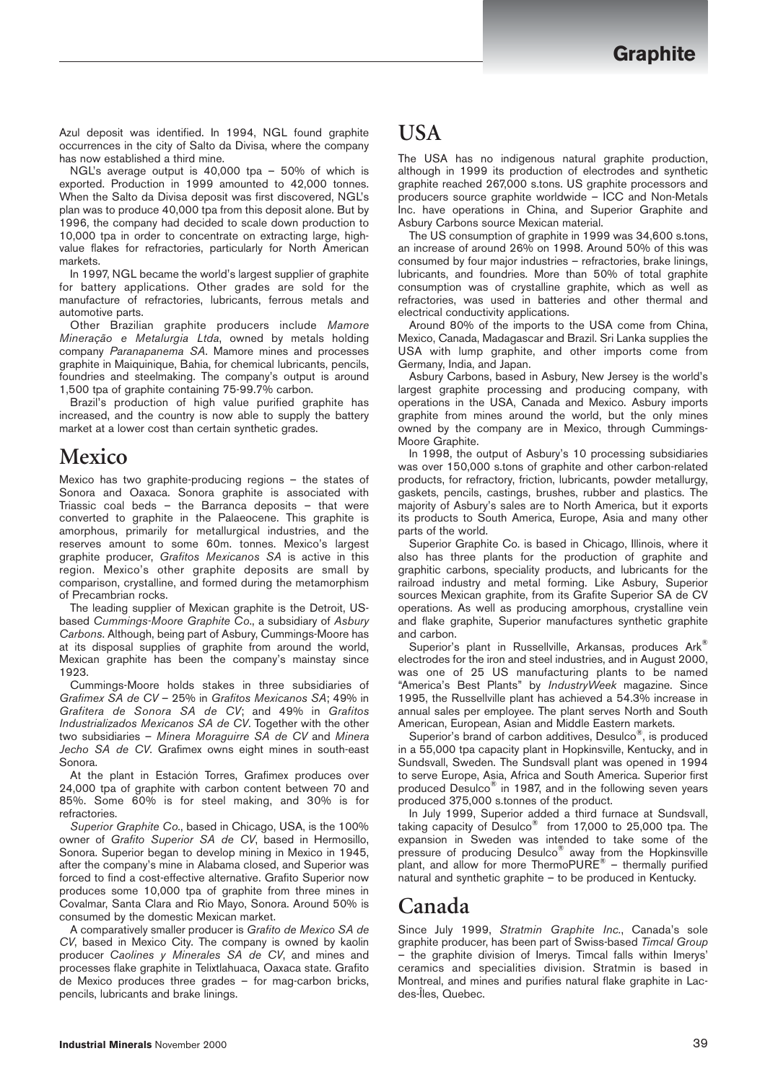Azul deposit was identified. In 1994, NGL found graphite occurrences in the city of Salto da Divisa, where the company has now established a third mine.

NGL's average output is 40,000 tpa – 50% of which is exported. Production in 1999 amounted to 42,000 tonnes. When the Salto da Divisa deposit was first discovered, NGL's plan was to produce 40,000 tpa from this deposit alone. But by 1996, the company had decided to scale down production to 10,000 tpa in order to concentrate on extracting large, highvalue flakes for refractories, particularly for North American markets.

In 1997, NGL became the world's largest supplier of graphite for battery applications. Other grades are sold for the manufacture of refractories, lubricants, ferrous metals and automotive parts.

Other Brazilian graphite producers include *Mamore Mineração e Metalurgia Ltda*, owned by metals holding company *Paranapanema SA*. Mamore mines and processes graphite in Maiquinique, Bahia, for chemical lubricants, pencils, foundries and steelmaking. The company's output is around 1,500 tpa of graphite containing 75-99.7% carbon.

Brazil's production of high value purified graphite has increased, and the country is now able to supply the battery market at a lower cost than certain synthetic grades.

#### **Mexico**

Mexico has two graphite-producing regions – the states of Sonora and Oaxaca. Sonora graphite is associated with Triassic coal beds – the Barranca deposits – that were converted to graphite in the Palaeocene. This graphite is amorphous, primarily for metallurgical industries, and the reserves amount to some 60m. tonnes. Mexico's largest graphite producer, *Grafitos Mexicanos SA* is active in this region. Mexico's other graphite deposits are small by comparison, crystalline, and formed during the metamorphism of Precambrian rocks.

The leading supplier of Mexican graphite is the Detroit, USbased *Cummings-Moore Graphite Co*., a subsidiary of *Asbury Carbons*. Although, being part of Asbury, Cummings-Moore has at its disposal supplies of graphite from around the world, Mexican graphite has been the company's mainstay since 1923.

Cummings-Moore holds stakes in three subsidiaries of *Grafimex SA de CV* – 25% in *Grafitos Mexicanos SA*; 49% in *Grafitera de Sonora SA de CV*; and 49% in *Grafitos Industrializados Mexicanos SA de CV*. Together with the other two subsidiaries – *Minera Moraguirre SA de CV* and *Minera Jecho SA de CV*. Grafimex owns eight mines in south-east Sonora.

At the plant in Estación Torres, Grafimex produces over 24,000 tpa of graphite with carbon content between 70 and 85%. Some 60% is for steel making, and 30% is for refractories.

*Superior Graphite Co.*, based in Chicago, USA, is the 100% owner of *Grafito Superior SA de CV*, based in Hermosillo, Sonora. Superior began to develop mining in Mexico in 1945, after the company's mine in Alabama closed, and Superior was forced to find a cost-effective alternative. Grafito Superior now produces some 10,000 tpa of graphite from three mines in Covalmar, Santa Clara and Rio Mayo, Sonora. Around 50% is consumed by the domestic Mexican market.

A comparatively smaller producer is *Grafito de Mexico SA de CV*, based in Mexico City. The company is owned by kaolin producer *Caolines y Minerales SA de CV*, and mines and processes flake graphite in Telixtlahuaca, Oaxaca state. Grafito de Mexico produces three grades – for mag-carbon bricks, pencils, lubricants and brake linings.

#### **USA**

The USA has no indigenous natural graphite production, although in 1999 its production of electrodes and synthetic graphite reached 267,000 s.tons. US graphite processors and producers source graphite worldwide – ICC and Non-Metals Inc. have operations in China, and Superior Graphite and Asbury Carbons source Mexican material.

The US consumption of graphite in 1999 was 34,600 s.tons, an increase of around 26% on 1998. Around 50% of this was consumed by four major industries – refractories, brake linings, lubricants, and foundries. More than 50% of total graphite consumption was of crystalline graphite, which as well as refractories, was used in batteries and other thermal and electrical conductivity applications.

Around 80% of the imports to the USA come from China, Mexico, Canada, Madagascar and Brazil. Sri Lanka supplies the USA with lump graphite, and other imports come from Germany, India, and Japan.

Asbury Carbons, based in Asbury, New Jersey is the world's largest graphite processing and producing company, with operations in the USA, Canada and Mexico. Asbury imports graphite from mines around the world, but the only mines owned by the company are in Mexico, through Cummings-Moore Graphite.

In 1998, the output of Asbury's 10 processing subsidiaries was over 150,000 s.tons of graphite and other carbon-related products, for refractory, friction, lubricants, powder metallurgy, gaskets, pencils, castings, brushes, rubber and plastics. The majority of Asbury's sales are to North America, but it exports its products to South America, Europe, Asia and many other parts of the world.

Superior Graphite Co. is based in Chicago, Illinois, where it also has three plants for the production of graphite and graphitic carbons, speciality products, and lubricants for the railroad industry and metal forming. Like Asbury, Superior sources Mexican graphite, from its Grafite Superior SA de CV operations. As well as producing amorphous, crystalline vein and flake graphite, Superior manufactures synthetic graphite and carbon.

Superior's plant in Russellville, Arkansas, produces Ark® electrodes for the iron and steel industries, and in August 2000, was one of 25 US manufacturing plants to be named "America's Best Plants" by *IndustryWeek* magazine. Since 1995, the Russellville plant has achieved a 54.3% increase in annual sales per employee. The plant serves North and South American, European, Asian and Middle Eastern markets.

Superior's brand of carbon additives, Desulco®, is produced in a 55,000 tpa capacity plant in Hopkinsville, Kentucky, and in Sundsvall, Sweden. The Sundsvall plant was opened in 1994 to serve Europe, Asia, Africa and South America. Superior first produced Desulco® in 1987, and in the following seven years produced 375,000 s.tonnes of the product.

In July 1999, Superior added a third furnace at Sundsvall, taking capacity of Desulco® from 17,000 to 25,000 tpa. The expansion in Sweden was intended to take some of the pressure of producing Desulco<sup>®</sup> away from the Hopkinsville plant, and allow for more ThermoPURE® – thermally purified natural and synthetic graphite – to be produced in Kentucky.

## **Canada**

Since July 1999, *Stratmin Graphite Inc.*, Canada's sole graphite producer, has been part of Swiss-based *Timcal Group* the graphite division of Imerys. Timcal falls within Imerys' ceramics and specialities division. Stratmin is based in Montreal, and mines and purifies natural flake graphite in Lacdes-Îles, Quebec.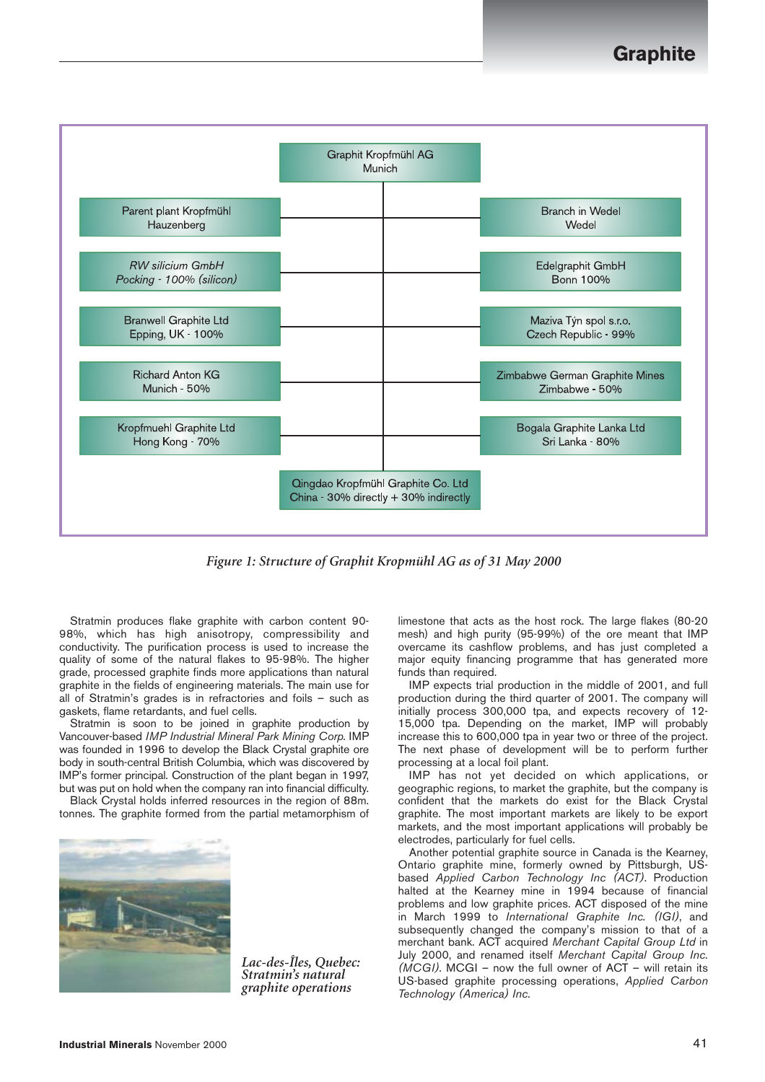

*Figure 1: Structure of Graphit Kropmühl AG as of 31 May 2000*

Stratmin produces flake graphite with carbon content 90- 98%, which has high anisotropy, compressibility and conductivity. The purification process is used to increase the quality of some of the natural flakes to 95-98%. The higher grade, processed graphite finds more applications than natural graphite in the fields of engineering materials. The main use for all of Stratmin's grades is in refractories and foils – such as gaskets, flame retardants, and fuel cells.

Stratmin is soon to be joined in graphite production by Vancouver-based *IMP Industrial Mineral Park Mining Corp.* IMP was founded in 1996 to develop the Black Crystal graphite ore body in south-central British Columbia, which was discovered by IMP's former principal. Construction of the plant began in 1997, but was put on hold when the company ran into financial difficulty.

Black Crystal holds inferred resources in the region of 88m. tonnes. The graphite formed from the partial metamorphism of



*Lac-des-Îles, Quebec: Stratmin's natural graphite operations*

limestone that acts as the host rock. The large flakes (80-20 mesh) and high purity (95-99%) of the ore meant that IMP overcame its cashflow problems, and has just completed a major equity financing programme that has generated more funds than required.

IMP expects trial production in the middle of 2001, and full production during the third quarter of 2001. The company will initially process 300,000 tpa, and expects recovery of 12- 15,000 tpa. Depending on the market, IMP will probably increase this to 600,000 tpa in year two or three of the project. The next phase of development will be to perform further processing at a local foil plant.

IMP has not yet decided on which applications, or geographic regions, to market the graphite, but the company is confident that the markets do exist for the Black Crystal graphite. The most important markets are likely to be export markets, and the most important applications will probably be electrodes, particularly for fuel cells.

Another potential graphite source in Canada is the Kearney, Ontario graphite mine, formerly owned by Pittsburgh, USbased *Applied Carbon Technology Inc (ACT)*. Production halted at the Kearney mine in 1994 because of financial problems and low graphite prices. ACT disposed of the mine in March 1999 to *International Graphite Inc. (IGI)*, and subsequently changed the company's mission to that of a merchant bank. ACT acquired *Merchant Capital Group Ltd* in July 2000, and renamed itself *Merchant Capital Group Inc. (MCGI)*. MCGI – now the full owner of ACT – will retain its US-based graphite processing operations, *Applied Carbon Technology (America) Inc.*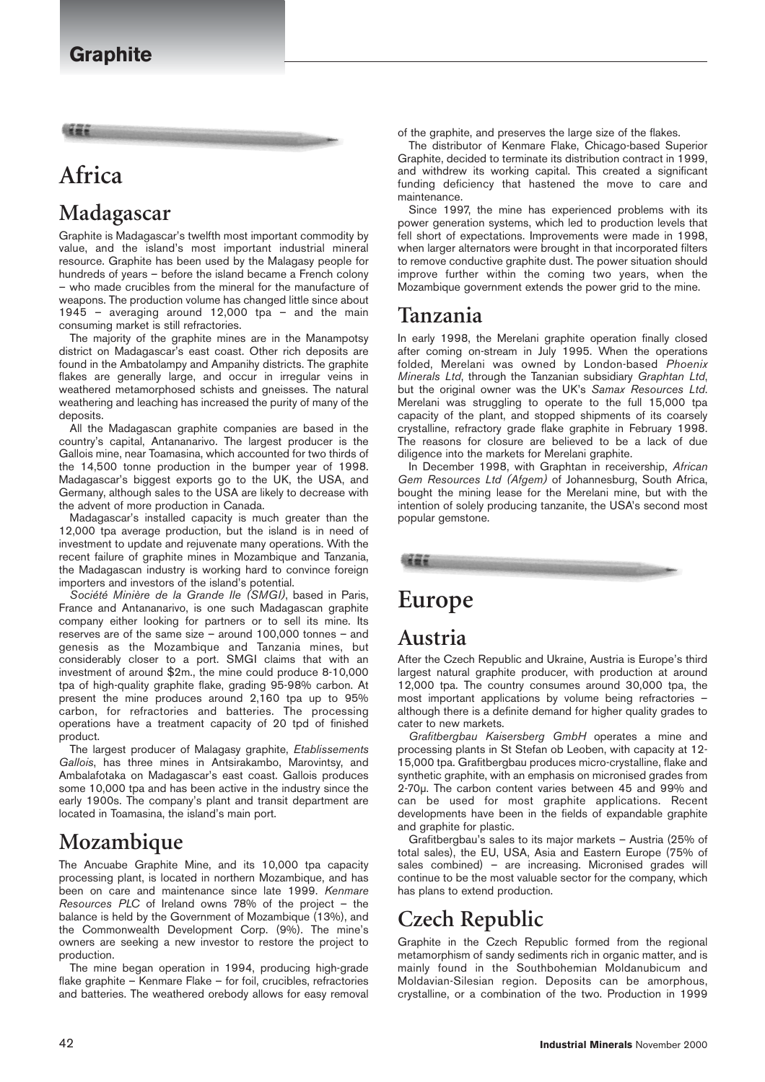# **Africa**

# **Madagascar**

Graphite is Madagascar's twelfth most important commodity by value, and the island's most important industrial mineral resource. Graphite has been used by the Malagasy people for hundreds of years – before the island became a French colony – who made crucibles from the mineral for the manufacture of weapons. The production volume has changed little since about 1945 – averaging around 12,000 tpa – and the main consuming market is still refractories.

The majority of the graphite mines are in the Manampotsy district on Madagascar's east coast. Other rich deposits are found in the Ambatolampy and Ampanihy districts. The graphite flakes are generally large, and occur in irregular veins in weathered metamorphosed schists and gneisses. The natural weathering and leaching has increased the purity of many of the deposits.

All the Madagascan graphite companies are based in the country's capital, Antananarivo. The largest producer is the Gallois mine, near Toamasina, which accounted for two thirds of the 14,500 tonne production in the bumper year of 1998. Madagascar's biggest exports go to the UK, the USA, and Germany, although sales to the USA are likely to decrease with the advent of more production in Canada.

Madagascar's installed capacity is much greater than the 12,000 tpa average production, but the island is in need of investment to update and rejuvenate many operations. With the recent failure of graphite mines in Mozambique and Tanzania, the Madagascan industry is working hard to convince foreign importers and investors of the island's potential.

*Société Minière de la Grande Ile (SMGI)*, based in Paris, France and Antananarivo, is one such Madagascan graphite company either looking for partners or to sell its mine. Its reserves are of the same size – around 100,000 tonnes – and genesis as the Mozambique and Tanzania mines, but considerably closer to a port. SMGI claims that with an investment of around \$2m., the mine could produce 8-10,000 tpa of high-quality graphite flake, grading 95-98% carbon. At present the mine produces around 2,160 tpa up to 95% carbon, for refractories and batteries. The processing operations have a treatment capacity of 20 tpd of finished product.

The largest producer of Malagasy graphite, *Etablissements Gallois*, has three mines in Antsirakambo, Marovintsy, and Ambalafotaka on Madagascar's east coast. Gallois produces some 10,000 tpa and has been active in the industry since the early 1900s. The company's plant and transit department are located in Toamasina, the island's main port.

## **Mozambique**

The Ancuabe Graphite Mine, and its 10,000 tpa capacity processing plant, is located in northern Mozambique, and has been on care and maintenance since late 1999. *Kenmare Resources PLC* of Ireland owns 78% of the project – the balance is held by the Government of Mozambique (13%), and the Commonwealth Development Corp. (9%). The mine's owners are seeking a new investor to restore the project to production.

The mine began operation in 1994, producing high-grade flake graphite – Kenmare Flake – for foil, crucibles, refractories and batteries. The weathered orebody allows for easy removal

of the graphite, and preserves the large size of the flakes.

The distributor of Kenmare Flake, Chicago-based Superior Graphite, decided to terminate its distribution contract in 1999, and withdrew its working capital. This created a significant funding deficiency that hastened the move to care and maintenance.

Since 1997, the mine has experienced problems with its power generation systems, which led to production levels that fell short of expectations. Improvements were made in 1998, when larger alternators were brought in that incorporated filters to remove conductive graphite dust. The power situation should improve further within the coming two years, when the Mozambique government extends the power grid to the mine.

#### **Tanzania**

In early 1998, the Merelani graphite operation finally closed after coming on-stream in July 1995. When the operations folded, Merelani was owned by London-based *Phoenix Minerals Ltd*, through the Tanzanian subsidiary *Graphtan Ltd*, but the original owner was the UK's *Samax Resources Ltd*. Merelani was struggling to operate to the full 15,000 tpa capacity of the plant, and stopped shipments of its coarsely crystalline, refractory grade flake graphite in February 1998. The reasons for closure are believed to be a lack of due diligence into the markets for Merelani graphite.

In December 1998, with Graphtan in receivership, *African Gem Resources Ltd (Afgem)* of Johannesburg, South Africa, bought the mining lease for the Merelani mine, but with the intention of solely producing tanzanite, the USA's second most popular gemstone.



# **Europe**

#### **Austria**

After the Czech Republic and Ukraine, Austria is Europe's third largest natural graphite producer, with production at around 12,000 tpa. The country consumes around 30,000 tpa, the most important applications by volume being refractories – although there is a definite demand for higher quality grades to cater to new markets.

*Grafitbergbau Kaisersberg GmbH* operates a mine and processing plants in St Stefan ob Leoben, with capacity at 12- 15,000 tpa. Grafitbergbau produces micro-crystalline, flake and synthetic graphite, with an emphasis on micronised grades from 2-70µ. The carbon content varies between 45 and 99% and can be used for most graphite applications. Recent developments have been in the fields of expandable graphite and graphite for plastic.

Grafitbergbau's sales to its major markets – Austria (25% of total sales), the EU, USA, Asia and Eastern Europe (75% of sales combined) – are increasing. Micronised grades will continue to be the most valuable sector for the company, which has plans to extend production.

# **Czech Republic**

Graphite in the Czech Republic formed from the regional metamorphism of sandy sediments rich in organic matter, and is mainly found in the Southbohemian Moldanubicum and Moldavian-Silesian region. Deposits can be amorphous, crystalline, or a combination of the two. Production in 1999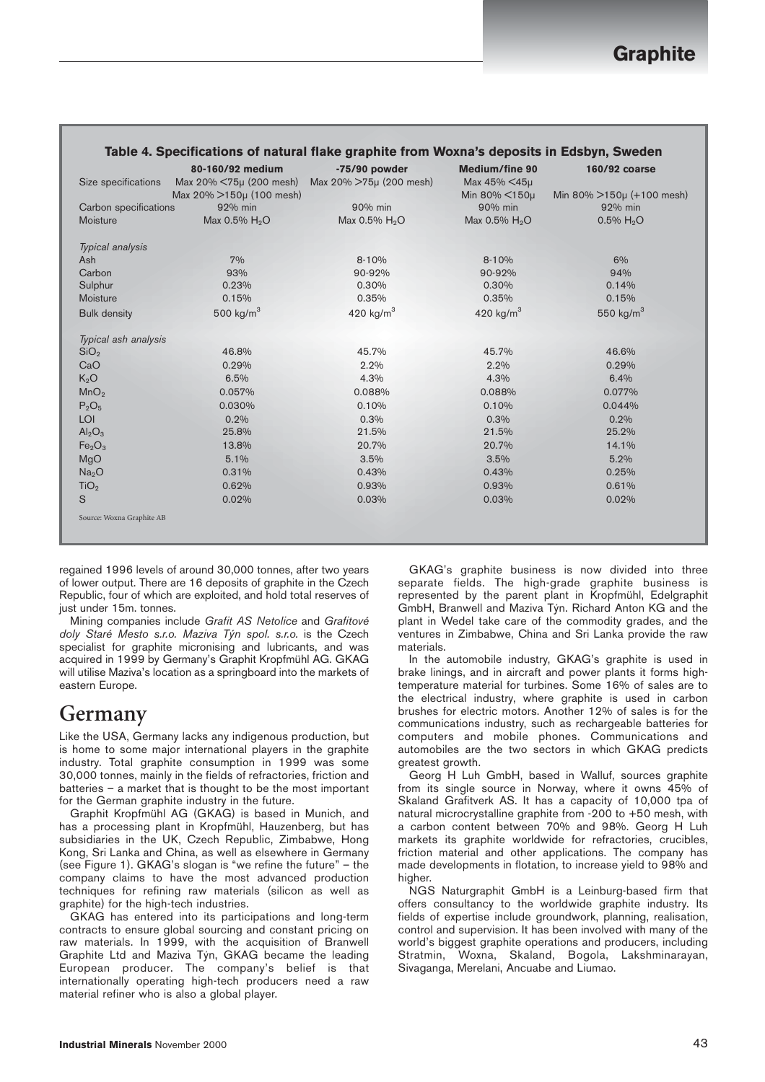| Size specifications            | 80-160/92 medium<br>Max 20% <75µ (200 mesh) | $-75/90$ powder<br>Max 20% >75µ (200 mesh) | <b>Medium/fine 90</b><br>Max 45% <45µ | 160/92 coarse                 |
|--------------------------------|---------------------------------------------|--------------------------------------------|---------------------------------------|-------------------------------|
|                                | Max 20% >150µ (100 mesh)                    |                                            | Min 80% $\leq 150\mu$                 | Min 80% $>150\mu$ (+100 mesh) |
| Carbon specifications          | 92% min                                     | 90% min                                    | 90% min                               | 92% min                       |
| Moisture                       | Max 0.5% H <sub>2</sub> O                   | Max 0.5% H <sub>2</sub> O                  | Max $0.5\%$ H <sub>2</sub> O          | $0.5\%$ H <sub>2</sub> O      |
| Typical analysis               |                                             |                                            |                                       |                               |
| Ash                            | 7%                                          | 8-10%                                      | $8 - 10%$                             | 6%                            |
| Carbon                         | 93%                                         | 90-92%                                     | 90-92%                                | 94%                           |
| Sulphur                        | 0.23%                                       | 0.30%                                      | 0.30%                                 | 0.14%                         |
| Moisture                       | 0.15%                                       | 0.35%                                      | 0.35%                                 | 0.15%                         |
| <b>Bulk density</b>            | 500 kg/ $m3$                                | 420 kg/ $m3$                               | 420 kg/ $m3$                          | 550 $kg/m3$                   |
| Typical ash analysis           |                                             |                                            |                                       |                               |
| SiO <sub>2</sub>               | 46.8%                                       | 45.7%                                      | 45.7%                                 | 46.6%                         |
| CaO                            | 0.29%                                       | 2.2%                                       | 2.2%                                  | 0.29%                         |
| $K_2O$                         | 6.5%                                        | 4.3%                                       | 4.3%                                  | 6.4%                          |
| MnO <sub>2</sub>               | 0.057%                                      | 0.088%                                     | 0.088%                                | 0.077%                        |
| $P_2O_5$                       | 0.030%                                      | 0.10%                                      | 0.10%                                 | 0.044%                        |
| LOI                            | 0.2%                                        | 0.3%                                       | 0.3%                                  | 0.2%                          |
| $\text{Al}_2\text{O}_3$        | 25.8%                                       | 21.5%                                      | 21.5%                                 | 25.2%                         |
| Fe <sub>2</sub> O <sub>3</sub> | 13.8%                                       | 20.7%                                      | 20.7%                                 | 14.1%                         |
| MgO                            | 5.1%                                        | 3.5%                                       | 3.5%                                  | 5.2%                          |
| Na <sub>2</sub> O              | 0.31%                                       | 0.43%                                      | 0.43%                                 | 0.25%                         |
| TiO <sub>2</sub>               | 0.62%                                       | 0.93%                                      | 0.93%                                 | 0.61%                         |
| S                              | 0.02%                                       | 0.03%                                      | 0.03%                                 | 0.02%                         |
| Source: Woxna Graphite AB      |                                             |                                            |                                       |                               |
|                                |                                             |                                            |                                       |                               |

#### **Table 4. Specifications of natural flake graphite from Woxna's deposits in Edsbyn, Sweden**

regained 1996 levels of around 30,000 tonnes, after two years of lower output. There are 16 deposits of graphite in the Czech Republic, four of which are exploited, and hold total reserves of just under 15m. tonnes.

Mining companies include *Grafit AS Netolice* and *Grafitové doly Staré Mesto s.r.o. Maziva Týn spol. s.r.o.* is the Czech specialist for graphite micronising and lubricants, and was acquired in 1999 by Germany's Graphit Kropfmühl AG. GKAG will utilise Maziva's location as a springboard into the markets of eastern Europe.

#### **Germany**

Like the USA, Germany lacks any indigenous production, but is home to some major international players in the graphite industry. Total graphite consumption in 1999 was some 30,000 tonnes, mainly in the fields of refractories, friction and batteries – a market that is thought to be the most important for the German graphite industry in the future.

Graphit Kropfmühl AG (GKAG) is based in Munich, and has a processing plant in Kropfmühl, Hauzenberg, but has subsidiaries in the UK, Czech Republic, Zimbabwe, Hong Kong, Sri Lanka and China, as well as elsewhere in Germany (see Figure 1). GKAG's slogan is "we refine the future" – the company claims to have the most advanced production techniques for refining raw materials (silicon as well as graphite) for the high-tech industries.

GKAG has entered into its participations and long-term contracts to ensure global sourcing and constant pricing on raw materials. In 1999, with the acquisition of Branwell Graphite Ltd and Maziva Týn, GKAG became the leading European producer. The company's belief is that internationally operating high-tech producers need a raw material refiner who is also a global player.

GKAG's graphite business is now divided into three separate fields. The high-grade graphite business is represented by the parent plant in Kropfmühl, Edelgraphit GmbH, Branwell and Maziva Týn. Richard Anton KG and the plant in Wedel take care of the commodity grades, and the ventures in Zimbabwe, China and Sri Lanka provide the raw materials.

In the automobile industry, GKAG's graphite is used in brake linings, and in aircraft and power plants it forms hightemperature material for turbines. Some 16% of sales are to the electrical industry, where graphite is used in carbon brushes for electric motors. Another 12% of sales is for the communications industry, such as rechargeable batteries for computers and mobile phones. Communications and automobiles are the two sectors in which GKAG predicts greatest growth.

Georg H Luh GmbH, based in Walluf, sources graphite from its single source in Norway, where it owns 45% of Skaland Grafitverk AS. It has a capacity of 10,000 tpa of natural microcrystalline graphite from -200 to +50 mesh, with a carbon content between 70% and 98%. Georg H Luh markets its graphite worldwide for refractories, crucibles, friction material and other applications. The company has made developments in flotation, to increase yield to 98% and higher.

NGS Naturgraphit GmbH is a Leinburg-based firm that offers consultancy to the worldwide graphite industry. Its fields of expertise include groundwork, planning, realisation, control and supervision. It has been involved with many of the world's biggest graphite operations and producers, including Stratmin, Woxna, Skaland, Bogola, Lakshminarayan, Sivaganga, Merelani, Ancuabe and Liumao.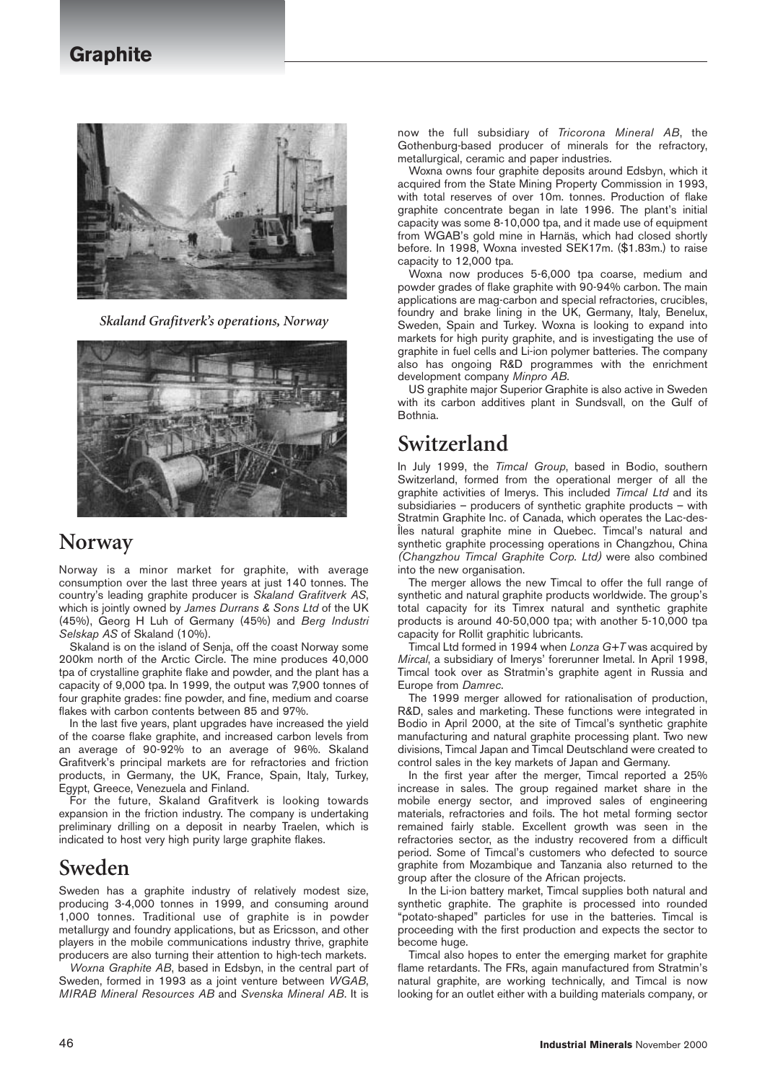#### **Graphite**



*Skaland Grafitverk's operations, Norway*



#### **Norway**

Norway is a minor market for graphite, with average consumption over the last three years at just 140 tonnes. The country's leading graphite producer is *Skaland Grafitverk AS*, which is jointly owned by *James Durrans & Sons Ltd* of the UK (45%), Georg H Luh of Germany (45%) and *Berg Industri Selskap AS* of Skaland (10%).

Skaland is on the island of Senja, off the coast Norway some 200km north of the Arctic Circle. The mine produces 40,000 tpa of crystalline graphite flake and powder, and the plant has a capacity of 9,000 tpa. In 1999, the output was 7,900 tonnes of four graphite grades: fine powder, and fine, medium and coarse flakes with carbon contents between 85 and 97%.

In the last five years, plant upgrades have increased the yield of the coarse flake graphite, and increased carbon levels from an average of 90-92% to an average of 96%. Skaland Grafitverk's principal markets are for refractories and friction products, in Germany, the UK, France, Spain, Italy, Turkey, Egypt, Greece, Venezuela and Finland.

For the future, Skaland Grafitverk is looking towards expansion in the friction industry. The company is undertaking preliminary drilling on a deposit in nearby Traelen, which is indicated to host very high purity large graphite flakes.

#### **Sweden**

Sweden has a graphite industry of relatively modest size, producing 3-4,000 tonnes in 1999, and consuming around 1,000 tonnes. Traditional use of graphite is in powder metallurgy and foundry applications, but as Ericsson, and other players in the mobile communications industry thrive, graphite producers are also turning their attention to high-tech markets.

*Woxna Graphite AB*, based in Edsbyn, in the central part of Sweden, formed in 1993 as a joint venture between *WGAB*, *MIRAB Mineral Resources AB* and *Svenska Mineral AB*. It is

now the full subsidiary of *Tricorona Mineral AB*, the Gothenburg-based producer of minerals for the refractory, metallurgical, ceramic and paper industries.

Woxna owns four graphite deposits around Edsbyn, which it acquired from the State Mining Property Commission in 1993, with total reserves of over 10m. tonnes. Production of flake graphite concentrate began in late 1996. The plant's initial capacity was some 8-10,000 tpa, and it made use of equipment from WGAB's gold mine in Harnäs, which had closed shortly before. In 1998, Woxna invested SEK17m. (\$1.83m.) to raise capacity to 12,000 tpa.

Woxna now produces 5-6,000 tpa coarse, medium and powder grades of flake graphite with 90-94% carbon. The main applications are mag-carbon and special refractories, crucibles, foundry and brake lining in the UK, Germany, Italy, Benelux, Sweden, Spain and Turkey. Woxna is looking to expand into markets for high purity graphite, and is investigating the use of graphite in fuel cells and Li-ion polymer batteries. The company also has ongoing R&D programmes with the enrichment development company *Minpro AB*.

US graphite major Superior Graphite is also active in Sweden with its carbon additives plant in Sundsvall, on the Gulf of Bothnia.

## **Switzerland**

In July 1999, the *Timcal Group*, based in Bodio, southern Switzerland, formed from the operational merger of all the graphite activities of Imerys. This included *Timcal Ltd* and its subsidiaries – producers of synthetic graphite products – with Stratmin Graphite Inc. of Canada, which operates the Lac-des-Îles natural graphite mine in Quebec. Timcal's natural and synthetic graphite processing operations in Changzhou, China *(Changzhou Timcal Graphite Corp. Ltd)* were also combined into the new organisation.

The merger allows the new Timcal to offer the full range of synthetic and natural graphite products worldwide. The group's total capacity for its Timrex natural and synthetic graphite products is around 40-50,000 tpa; with another 5-10,000 tpa capacity for Rollit graphitic lubricants.

Timcal Ltd formed in 1994 when *Lonza G+T* was acquired by *Mircal*, a subsidiary of Imerys' forerunner Imetal. In April 1998, Timcal took over as Stratmin's graphite agent in Russia and Europe from *Damrec*.

The 1999 merger allowed for rationalisation of production, R&D, sales and marketing. These functions were integrated in Bodio in April 2000, at the site of Timcal's synthetic graphite manufacturing and natural graphite processing plant. Two new divisions, Timcal Japan and Timcal Deutschland were created to control sales in the key markets of Japan and Germany.

In the first year after the merger, Timcal reported a 25% increase in sales. The group regained market share in the mobile energy sector, and improved sales of engineering materials, refractories and foils. The hot metal forming sector remained fairly stable. Excellent growth was seen in the refractories sector, as the industry recovered from a difficult period. Some of Timcal's customers who defected to source graphite from Mozambique and Tanzania also returned to the group after the closure of the African projects.

In the Li-ion battery market, Timcal supplies both natural and synthetic graphite. The graphite is processed into rounded "potato-shaped" particles for use in the batteries. Timcal is proceeding with the first production and expects the sector to become huge.

Timcal also hopes to enter the emerging market for graphite flame retardants. The FRs, again manufactured from Stratmin's natural graphite, are working technically, and Timcal is now looking for an outlet either with a building materials company, or